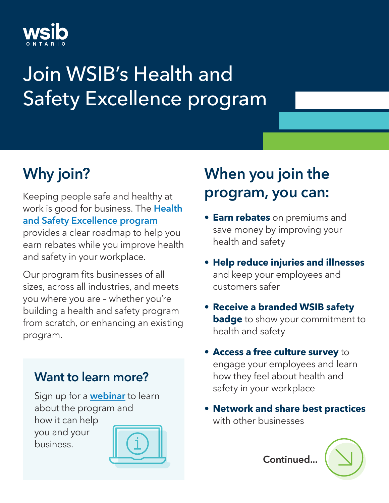

# Join WSIB's Health and Safety Excellence program

# Why join?

Keeping people safe and healthy at work is good for business. The **[Health](https://www.wsib.ca/en/healthandsafety)** [and Safety Excellence program](https://www.wsib.ca/en/healthandsafety) provides a clear roadmap to help you earn rebates while you improve health and safety in your workplace.

Our program fits businesses of all sizes, across all industries, and meets you where you are – whether you're building a health and safety program from scratch, or enhancing an existing program.

#### Want to learn more?

Sign up for a **[webinar](https://www.wsib.ca/en/health-and-safety-excellence-program-webinars)** to learn about the program and how it can help you and your business.



# When you join the program, you can:

- **• Earn rebates** on premiums and save money by improving your health and safety
- **• Help reduce injuries and illnesses** and keep your employees and customers safer
- **• Receive a branded WSIB safety badge** to show your commitment to health and safety
- **• Access a free culture survey** to engage your employees and learn how they feel about health and safety in your workplace
- **• Network and share best practices** with other businesses